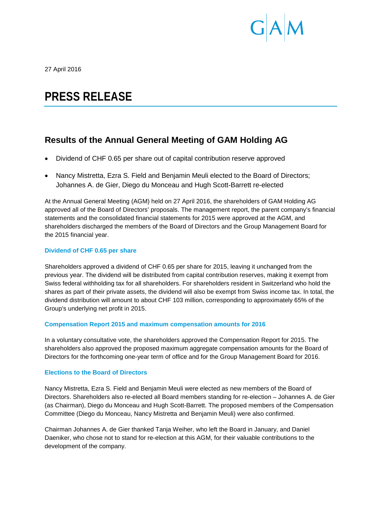

27 April 2016

# **PRESS RELEASE**

# **Results of the Annual General Meeting of GAM Holding AG**

- Dividend of CHF 0.65 per share out of capital contribution reserve approved
- Nancy Mistretta, Ezra S. Field and Benjamin Meuli elected to the Board of Directors; Johannes A. de Gier, Diego du Monceau and Hugh Scott-Barrett re-elected

At the Annual General Meeting (AGM) held on 27 April 2016, the shareholders of GAM Holding AG approved all of the Board of Directors' proposals. The management report, the parent company's financial statements and the consolidated financial statements for 2015 were approved at the AGM, and shareholders discharged the members of the Board of Directors and the Group Management Board for the 2015 financial year.

# **Dividend of CHF 0.65 per share**

Shareholders approved a dividend of CHF 0.65 per share for 2015, leaving it unchanged from the previous year. The dividend will be distributed from capital contribution reserves, making it exempt from Swiss federal withholding tax for all shareholders. For shareholders resident in Switzerland who hold the shares as part of their private assets, the dividend will also be exempt from Swiss income tax. In total, the dividend distribution will amount to about CHF 103 million, corresponding to approximately 65% of the Group's underlying net profit in 2015.

# **Compensation Report 2015 and maximum compensation amounts for 2016**

In a voluntary consultative vote, the shareholders approved the Compensation Report for 2015. The shareholders also approved the proposed maximum aggregate compensation amounts for the Board of Directors for the forthcoming one-year term of office and for the Group Management Board for 2016.

# **Elections to the Board of Directors**

Nancy Mistretta, Ezra S. Field and Benjamin Meuli were elected as new members of the Board of Directors. Shareholders also re-elected all Board members standing for re-election – Johannes A. de Gier (as Chairman), Diego du Monceau and Hugh Scott-Barrett. The proposed members of the Compensation Committee (Diego du Monceau, Nancy Mistretta and Benjamin Meuli) were also confirmed.

Chairman Johannes A. de Gier thanked Tanja Weiher, who left the Board in January, and Daniel Daeniker, who chose not to stand for re-election at this AGM, for their valuable contributions to the development of the company.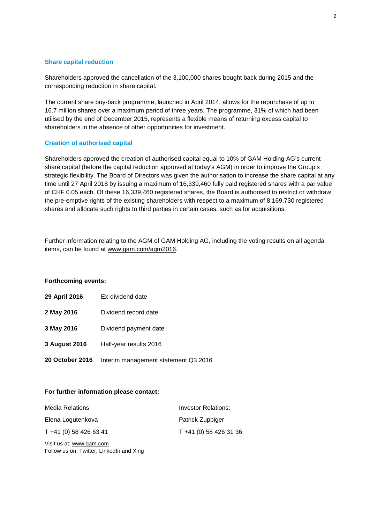### **Share capital reduction**

Shareholders approved the cancellation of the 3,100,000 shares bought back during 2015 and the corresponding reduction in share capital.

The current share buy-back programme, launched in April 2014, allows for the repurchase of up to 16.7 million shares over a maximum period of three years. The programme, 31% of which had been utilised by the end of December 2015, represents a flexible means of returning excess capital to shareholders in the absence of other opportunities for investment.

#### **Creation of authorised capital**

Shareholders approved the creation of authorised capital equal to 10% of GAM Holding AG's current share capital (before the capital reduction approved at today's AGM) in order to improve the Group's strategic flexibility. The Board of Directors was given the authorisation to increase the share capital at any time until 27 April 2018 by issuing a maximum of 16,339,460 fully paid registered shares with a par value of CHF 0.05 each. Of these 16,339,460 registered shares, the Board is authorised to restrict or withdraw the pre-emptive rights of the existing shareholders with respect to a maximum of 8,169,730 registered shares and allocate such rights to third parties in certain cases, such as for acquisitions.

Further information relating to the AGM of GAM Holding AG, including the voting results on all agenda items, can be found at [www.gam.com/agm2016.](http://www.gam.com/agm2016)

#### **Forthcoming events:**

- **29 April 2016** Ex-dividend date
- **2 May 2016** Dividend record date
- **3 May 2016** Dividend payment date
- **3 August 2016** Half-year results 2016
- **20 October 2016** Interim management statement Q3 2016

#### **For further information please contact:**

| Media Relations:       | Investor Relations:    |
|------------------------|------------------------|
| Elena Logutenkova      | Patrick Zuppiger       |
| T +41 (0) 58 426 63 41 | T +41 (0) 58 426 31 36 |

Visit us at: [www.gam.com](http://www.gam.com/) Follow us on[: Twitter,](https://twitter.com/gaminsights) [LinkedIn](https://www.linkedin.com/company/gam?trk=company_logo) and Xing